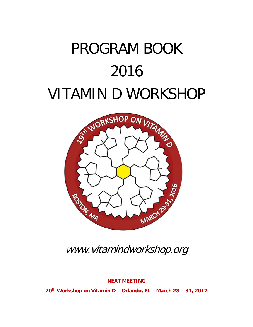# PROGRAM BOOK 2016 VITAMIN D WORKSHOP



www.vitamindworkshop.org

**NEXT MEETING**

**20th Workshop on Vitamin D – Orlando, FL – March 28 – 31, 2017**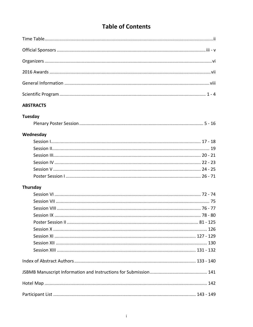# **Table of Contents**

## **ABSTRACTS**

## **Tuesday**

|--|--|--|--|--|--|

## Wednesday

## **Thursday**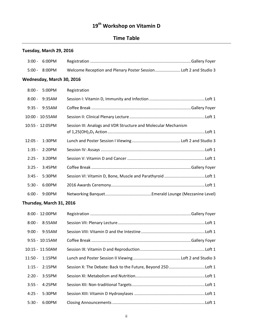# **19th Workshop on Vitamin D**

# **Time Table**

# **Tuesday, March 29, 2016**

| $3:00 -$        | 6:00PM                    |                                                                 |  |
|-----------------|---------------------------|-----------------------------------------------------------------|--|
| $5:00 -$        | 8:00PM                    | Welcome Reception and Plenary Poster SessionLoft 2 and Studio 3 |  |
|                 | Wednesday, March 30, 2016 |                                                                 |  |
| $8:00 -$        | 5:00PM                    | Registration                                                    |  |
| $8:00 -$        | 9:35AM                    |                                                                 |  |
| $9:35 -$        | 9:55AM                    |                                                                 |  |
| 10:00 - 10:55AM |                           |                                                                 |  |
| 10:55 - 12:05PM |                           | Session III: Analogs and VDR Structure and Molecular Mechanism  |  |
| $12:05 -$       | 1:30PM                    |                                                                 |  |
| $1:35 -$        | 2:20PM                    |                                                                 |  |
| $2:25 -$        | 3:20PM                    |                                                                 |  |
| $3:25 -$        | 3:45PM                    |                                                                 |  |
| $3:45 -$        | 5:30PM                    | Session VI: Vitamin D, Bone, Muscle and Parathyroid Loft 1      |  |
| $5:30 -$        | 6:00PM                    |                                                                 |  |
| $6:00 -$        | 9:00PM                    |                                                                 |  |
|                 | Thursday, March 31, 2016  |                                                                 |  |
| 8:00 - 12:00PM  |                           |                                                                 |  |
| $8:00 -$        | 8:55AM                    |                                                                 |  |
| $9:00 -$        | 9:55AM                    |                                                                 |  |
| 9:55 - 10:15AM  |                           |                                                                 |  |
| 10:15 - 11:50AM |                           |                                                                 |  |
| $11:50 -$       | 1:15PM                    |                                                                 |  |
| $1:15 -$        | 2:15PM                    | Session X: The Debate: Back to the Future, Beyond 25D Loft 1    |  |
| $2:20 -$        | 3:55PM                    |                                                                 |  |
| $3:55 -$        | 4:25PM                    |                                                                 |  |
| $4:25 -$        | 5:30PM                    |                                                                 |  |
| $5:30 -$        | 6:00PM                    |                                                                 |  |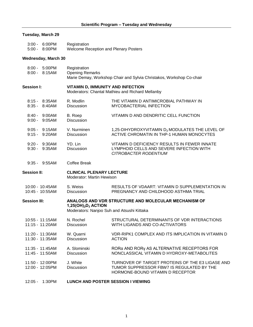## **Tuesday, March 29**

| $3:00 - 6:00 \text{PM}$ | Registration                                 |
|-------------------------|----------------------------------------------|
| $5:00 - 8:00 \text{PM}$ | <b>Welcome Reception and Plenary Posters</b> |

#### **Wednesday, March 30**

| 8:00 - 5:00PM<br>$8:00 - 8:15AM$    | Registration<br><b>Opening Remarks</b>                             | Marie Demay, Workshop Chair and Sylvia Christakos, Workshop Co-chair                                                              |
|-------------------------------------|--------------------------------------------------------------------|-----------------------------------------------------------------------------------------------------------------------------------|
| <b>Session I:</b>                   | VITAMIN D, IMMUNITY AND INFECTION                                  | Moderators: Chantal Mathieu and Richard Mellanby                                                                                  |
| $8:15 - 8:35AM$<br>8:35 - 8:40AM    | R. Modlin<br>Discussion                                            | THE VITAMIN D ANTIMICROBIAL PATHWAY IN<br>MYCOBACTERIAL INFECTION                                                                 |
| 8:40 - 9:00AM<br>$9:00 -$<br>9:05AM | B. Roep<br><b>Discussion</b>                                       | VITAMIN D AND DENDRITIC CELL FUNCTION                                                                                             |
| $9:05 - 9:15AM$<br>9:15 - 9:20AM    | V. Nurminen<br><b>Discussion</b>                                   | 1,25-DIHYDROXYVITAMIN D <sub>3</sub> MODULATES THE LEVEL OF<br>ACTIVE CHROMATIN IN THP-1 HUMAN MONOCYTES                          |
| 9:20 - 9:30AM<br>$9:30 - 9:35AM$    | YD. Lin<br><b>Discussion</b>                                       | VITAMIN D DEFICIENCY RESULTS IN FEWER INNATE<br>LYMPHOID CELLS AND SEVERE INFECTION WITH<br>CITROBACTER RODENTIUM                 |
| $9:35 - 9:55AM$                     | <b>Coffee Break</b>                                                |                                                                                                                                   |
| <b>Session II:</b>                  | <b>CLINICAL PLENARY LECTURE</b><br>Moderator: Martin Hewison       |                                                                                                                                   |
| 10:00 - 10:45AM<br>10:45 - 10:55AM  | S. Weiss<br><b>Discussion</b>                                      | RESULTS OF VDAART: VITAMIN D SUPPLEMENTATION IN<br>PREGNANCY AND CHILDHOOD ASTHMA TRIAL                                           |
| <b>Session III:</b>                 | $1,25(OH)2D3$ ACTION<br>Moderators: Nanjoo Suh and Atsushi Kittaka | ANALOGS AND VDR STRUCTURE AND MOLECULAR MECHANISM OF                                                                              |
| 10:55 - 11:15AM<br>11:15 - 11:20AM  | N. Rochel<br><b>Discussion</b>                                     | STRUCTURAL DETERMINANTS OF VDR INTERACTIONS<br>WITH LIGANDS AND CO-ACTIVATORS                                                     |
| 11:20 - 11:30AM<br>11:30 - 11:35AM  | W. Quarni<br><b>Discussion</b>                                     | VDR-RIPK1 COMPLEX AND ITS IMPLICATION IN VITAMIN D<br><b>ACTION</b>                                                               |
| 11:35 - 11:45AM<br>11:45 - 11:50AM  | A. Slominski<br><b>Discussion</b>                                  | RORG AND RORY AS ALTERNATIVE RECEPTORS FOR<br>NONCLASSICAL VITAMIN D HYDROXY-METABOLITES                                          |
| 11:50 - 12:00PM<br>12:00 - 12:05PM  | J. White<br><b>Discussion</b>                                      | TURNOVER OF TARGET PROTEINS OF THE E3 LIGASE AND<br>TUMOR SUPPRESSOR FBW7 IS REGULATED BY THE<br>HORMONE-BOUND VITAMIN D RECEPTOR |
| 12:05 - 1:30PM                      | LUNCH AND POSTER SESSION I VIEWING                                 |                                                                                                                                   |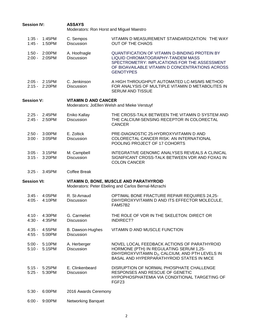| <b>Session IV:</b> |                                    | <b>ASSAYS</b><br>Moderators: Ron Horst and Miguel Maestro |                                                                                                                                                                                                                    |
|--------------------|------------------------------------|-----------------------------------------------------------|--------------------------------------------------------------------------------------------------------------------------------------------------------------------------------------------------------------------|
|                    | 1:35 - 1:45PM<br>1:45 - 1:50PM     | C. Sempos<br><b>Discussion</b>                            | VITAMIN D MEASUREMENT STANDARDIZATION: THE WAY<br><b>OUT OF THE CHAOS</b>                                                                                                                                          |
|                    | 1:50 - 2:00PM<br>2:00 - 2:05 PM    | A. Hoofnagle<br><b>Discussion</b>                         | <b>QUANTIFICATION OF VITAMIN D-BINDING PROTEIN BY</b><br>LIQUID CHROMATOGRAPHY-TANDEM MASS<br>SPECTROMETRY: IMPLICATIONS FOR THE ASSESSMENT<br>OF BIOAVAILABLE VITAMIN D CONCENTRATIONS ACROSS<br><b>GENOTYPES</b> |
|                    | 2:05 - 2:15PM<br>2:15 - 2:20PM     | C. Jenkinson<br><b>Discussion</b>                         | A HIGH THROUGHPUT AUTOMATED LC-MS/MS METHOD<br>FOR ANALYSIS OF MULTIPLE VITAMIN D METABOLITES IN<br><b>SERUM AND TISSUE</b>                                                                                        |
| <b>Session V:</b>  |                                    | <b>VITAMIN D AND CANCER</b>                               | Moderators: JoEllen Welsh and Mieke Verstuyf                                                                                                                                                                       |
|                    | 2:25 - 2:45PM<br>2:45 - 2:50PM     | Eniko Kallay<br>Discussion                                | THE CROSS-TALK BETWEEN THE VITAMIN D SYSTEM AND<br>THE CALCIUM-SENSING RECEPTOR IN COLORECTAL<br><b>CANCER</b>                                                                                                     |
|                    | 2:50 - 3:00PM<br>$3:00 - 3:05$ PM  | E. Zoltick<br><b>Discussion</b>                           | PRE-DIAGNOSTIC 25-HYDROXYVITAMIN D AND<br>COLORECTAL CANCER RISK: AN INTERNATIONAL<br>POOLING PROJECT OF 17 COHORTS                                                                                                |
|                    | $3:05 - 3:15$ PM<br>3:15 - 3:20PM  | M. Campbell<br><b>Discussion</b>                          | INTEGRATIVE GENOMIC ANALYSES REVEALS A CLINICAL<br>SIGNIFICANT CROSS-TALK BETWEEN VDR AND FOXA1 IN<br><b>COLON CANCER</b>                                                                                          |
| $3:25 -$           | 3:45PM                             | <b>Coffee Break</b>                                       |                                                                                                                                                                                                                    |
| <b>Session VI:</b> |                                    |                                                           | VITAMIN D, BONE, MUSCLE AND PARATHYROID<br>Moderators: Peter Ebeling and Carlos Bernal-Mizrachi                                                                                                                    |
|                    | 3:45 - 4:05PM<br>4:05 - 4:10PM     | R. St-Arnaud<br><b>Discussion</b>                         | OPTIMAL BONE FRACTURE REPAIR REQUIRES 24,25-<br>DIHYDROXYVITAMIN D AND ITS EFFECTOR MOLECULE,<br><b>FAM57B2</b>                                                                                                    |
|                    | 4:10 - 4:30PM<br>4:30 - 4:35PM     | G. Carmeliet<br><b>Discussion</b>                         | THE ROLE OF VDR IN THE SKELETON: DIRECT OR<br><b>INDIRECT?</b>                                                                                                                                                     |
|                    | 4:35 - 4:55PM<br>4:55 - 5:00PM     | B. Dawson-Hughes<br><b>Discussion</b>                     | VITAMIN D AND MUSCLE FUNCTION                                                                                                                                                                                      |
|                    | 5:00 - 5:10PM<br>$5:10 - 5:15$ PM  | A. Herberger<br>Discussion                                | NOVEL LOCAL FEEDBACK ACTIONS OF PARATHYROID<br>HORMONE (PTH) IN REGULATING SERUM 1,25-<br>DIHYDROXYVITAMIN D <sub>3</sub> , CALCIUM, AND PTH LEVELS IN<br><b>BASAL AND HYPERPARATHYROID STATES IN MICE</b>         |
|                    | $5:15 - 5:25$ PM<br>5:25 - 5:30 PM | E. Clinkenbeard<br>Discussion                             | DISRUPTION OF NORMAL PHOSPHATE CHALLENGE<br>RESPONSES AND RESCUE OF GENETIC<br>HYPOPHOSPHATEMIA VIA CONDITIONAL TARGETING OF<br>FGF <sub>23</sub>                                                                  |
| $5:30 -$           | 6:00PM                             | 2016 Awards Ceremony                                      |                                                                                                                                                                                                                    |
|                    | 6:00 - 9:00PM                      | Networking Banquet                                        |                                                                                                                                                                                                                    |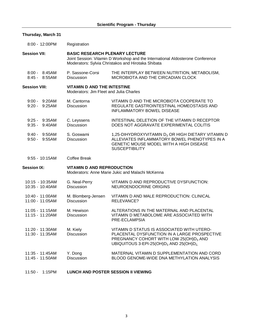## **Thursday, March 31**

| 8:00 - 12:00PM                      | Registration                                                                  |                                                                                                                                                                                                    |
|-------------------------------------|-------------------------------------------------------------------------------|----------------------------------------------------------------------------------------------------------------------------------------------------------------------------------------------------|
| <b>Session VII:</b>                 | <b>BASIC RESEARCH PLENARY LECTURE</b>                                         | Joint Session: Vitamin D Workshop and the International Aldosterone Conference<br>Moderators: Sylvia Christakos and Hirotaka Shibata                                                               |
| 8:00 - 8:45AM<br>$8:45 - 8:55AM$    | P. Sassone-Corsi<br><b>Discussion</b>                                         | THE INTERPLAY BETWEEN NUTRITION, METABOLISM,<br>MICROBIOTA AND THE CIRCADIAN CLOCK                                                                                                                 |
| <b>Session VIII:</b>                | <b>VITAMIN D AND THE INTESTINE</b><br>Moderators: Jim Fleet and Julia Charles |                                                                                                                                                                                                    |
| $9:00 - 9:20$ AM<br>$9:20 - 9:25AM$ | M. Cantorna<br><b>Discussion</b>                                              | VITAMIN D AND THE MICROBIOTA COOPERATE TO<br>REGULATE GASTROINTESTINAL HOMEOSTASIS AND<br><b>INFLAMMATORY BOWEL DISEASE</b>                                                                        |
| $9:25 - 9:35AM$<br>$9:35 - 9:40$ AM | C. Leyssens<br><b>Discussion</b>                                              | INTESTINAL DELETION OF THE VITAMIN D RECEPTOR<br>DOES NOT AGGRAVATE EXPERIMENTAL COLITIS                                                                                                           |
| 9:40 - 9:50AM<br>$9:50 - 9:55AM$    | S. Goswami<br><b>Discussion</b>                                               | 1,25-DIHYDROXYVITAMIN D <sub>3</sub> OR HIGH DIETARY VITAMIN D<br>ALLEVIATES INFLAMMATORY BOWEL PHENOTYPES IN A<br>GENETIC MOUSE MODEL WITH A HIGH DISEASE<br><b>SUSCEPTIBILITY</b>                |
| $9:55 - 10:15AM$                    | <b>Coffee Break</b>                                                           |                                                                                                                                                                                                    |
| <b>Session IX:</b>                  | <b>VITAMIN D AND REPRODUCTION</b>                                             | Moderators: Anne Marie Jukic and Malachi McKenna                                                                                                                                                   |
| 10:15 - 10:35AM<br>10:35 - 10:40AM  | G. Neal-Perry<br><b>Discussion</b>                                            | VITAMIN D AND REPRODUCTIVE DYSFUNCTION:<br>NEUROENDOCRINE ORIGINS                                                                                                                                  |
| 10:40 - 11:00AM<br>11:00 - 11:05AM  | M. Blomberg-Jensen<br><b>Discussion</b>                                       | VITAMIN D AND MALE REPRODUCTION: CLINICAL<br>RELEVANCE?                                                                                                                                            |
| 11:05 - 11:15AM<br>11:15 - 11:20AM  | M. Hewison<br><b>Discussion</b>                                               | ALTERATIONS IN THE MATERNAL AND PLACENTAL<br>VITAMIN D METABOLOME ARE ASSOCIATED WITH<br>PRE-ECLAMPSIA                                                                                             |
| 11:20 - 11:30AM<br>11:30 - 11:35AM  | M. Kiely<br><b>Discussion</b>                                                 | VITAMIN D STATUS IS ASSOCIATED WITH UTERO-<br>PLACENTAL DYSFUNCTION IN A LARGE PROSPECTIVE<br>PREGNANCY COHORT WITH LOW 25(OH)D <sub>3</sub> AND<br>UBIQUITOUS 3-EPI-25(OH) $D_3$ AND 25(OH) $D_2$ |
| 11:35 - 11:45AM<br>11:45 - 11:50AM  | Y. Dong<br>Discussion                                                         | MATERNAL VITAMIN D SUPPLEMENTATION AND CORD<br>BLOOD GENOME-WIDE DNA METHYLATION ANALYSIS                                                                                                          |
| 11:50 - 1:15PM                      | <b>LUNCH AND POSTER SESSION II VIEWING</b>                                    |                                                                                                                                                                                                    |